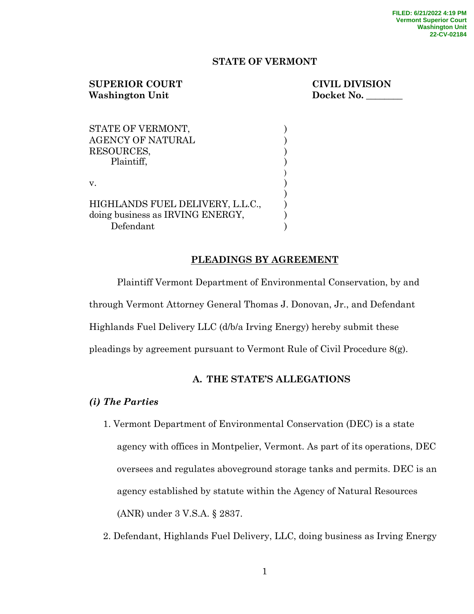## **STATE OF VERMONT**

# **SUPERIOR COURT CIVIL DIVISION** Washington Unit Docket No.

| STATE OF VERMONT,                |  |
|----------------------------------|--|
| <b>AGENCY OF NATURAL</b>         |  |
| RESOURCES,                       |  |
| Plaintiff,                       |  |
|                                  |  |
| $V_{\cdot}$                      |  |
|                                  |  |
| HIGHLANDS FUEL DELIVERY, L.L.C., |  |
| doing business as IRVING ENERGY, |  |
| Defendant                        |  |

## **PLEADINGS BY AGREEMENT**

Plaintiff Vermont Department of Environmental Conservation, by and through Vermont Attorney General Thomas J. Donovan, Jr., and Defendant Highlands Fuel Delivery LLC (d/b/a Irving Energy) hereby submit these pleadings by agreement pursuant to Vermont Rule of Civil Procedure 8(g).

## **A. THE STATE'S ALLEGATIONS**

## *(i) The Parties*

- 1. Vermont Department of Environmental Conservation (DEC) is a state agency with offices in Montpelier, Vermont. As part of its operations, DEC oversees and regulates aboveground storage tanks and permits. DEC is an agency established by statute within the Agency of Natural Resources (ANR) under 3 V.S.A. § 2837.
- 2. Defendant, Highlands Fuel Delivery, LLC, doing business as Irving Energy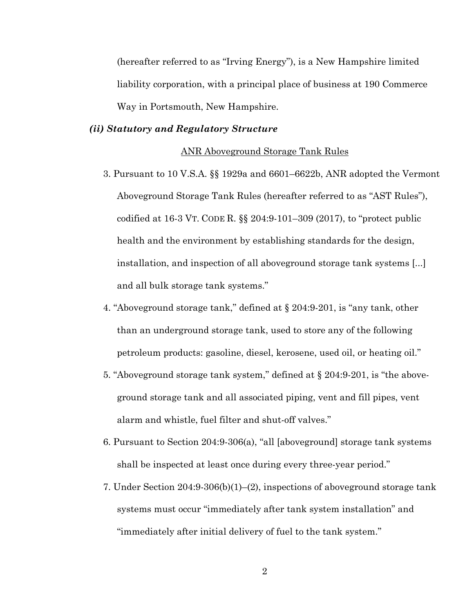(hereafter referred to as "Irving Energy"), is a New Hampshire limited liability corporation, with a principal place of business at 190 Commerce Way in Portsmouth, New Hampshire.

### *(ii) Statutory and Regulatory Structure*

#### ANR Aboveground Storage Tank Rules

- 3. Pursuant to 10 V.S.A. §§ 1929a and 6601–6622b, ANR adopted the Vermont Aboveground Storage Tank Rules (hereafter referred to as "AST Rules"), codified at 16-3 VT. CODE R. §§ 204:9-101–309 (2017), to "protect public health and the environment by establishing standards for the design, installation, and inspection of all aboveground storage tank systems [...] and all bulk storage tank systems."
- 4. "Aboveground storage tank," defined at § 204:9-201, is "any tank, other than an underground storage tank, used to store any of the following petroleum products: gasoline, diesel, kerosene, used oil, or heating oil."
- 5. "Aboveground storage tank system," defined at § 204:9-201, is "the aboveground storage tank and all associated piping, vent and fill pipes, vent alarm and whistle, fuel filter and shut-off valves."
- 6. Pursuant to Section 204:9-306(a), "all [aboveground] storage tank systems shall be inspected at least once during every three-year period."
- 7. Under Section 204:9-306(b)(1)–(2), inspections of aboveground storage tank systems must occur "immediately after tank system installation" and "immediately after initial delivery of fuel to the tank system."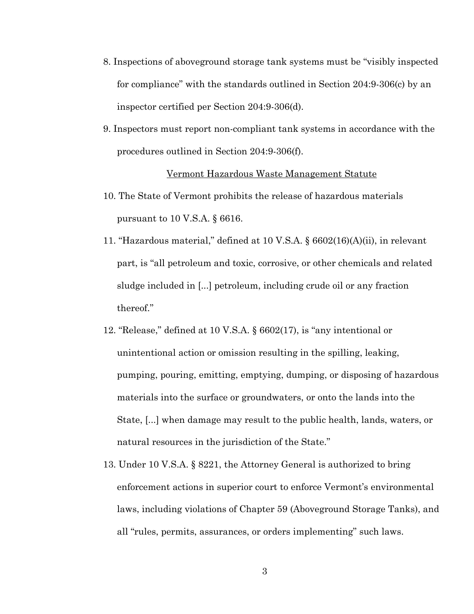- 8. Inspections of aboveground storage tank systems must be "visibly inspected for compliance" with the standards outlined in Section 204:9-306(c) by an inspector certified per Section 204:9-306(d).
- 9. Inspectors must report non-compliant tank systems in accordance with the procedures outlined in Section 204:9-306(f).

#### Vermont Hazardous Waste Management Statute

- 10. The State of Vermont prohibits the release of hazardous materials pursuant to 10 V.S.A. § 6616.
- 11. "Hazardous material," defined at 10 V.S.A. § 6602(16)(A)(ii), in relevant part, is "all petroleum and toxic, corrosive, or other chemicals and related sludge included in [...] petroleum, including crude oil or any fraction thereof."
- 12. "Release," defined at 10 V.S.A. § 6602(17), is "any intentional or unintentional action or omission resulting in the spilling, leaking, pumping, pouring, emitting, emptying, dumping, or disposing of hazardous materials into the surface or groundwaters, or onto the lands into the State, [...] when damage may result to the public health, lands, waters, or natural resources in the jurisdiction of the State."
- 13. Under 10 V.S.A. § 8221, the Attorney General is authorized to bring enforcement actions in superior court to enforce Vermont's environmental laws, including violations of Chapter 59 (Aboveground Storage Tanks), and all "rules, permits, assurances, or orders implementing" such laws.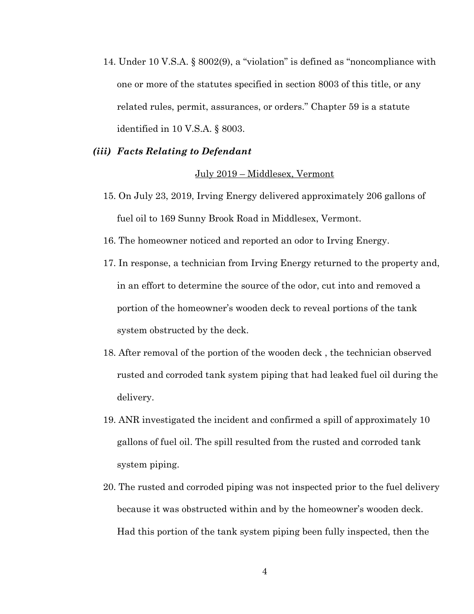14. Under 10 V.S.A. § 8002(9), a "violation" is defined as "noncompliance with one or more of the statutes specified in section 8003 of this title, or any related rules, permit, assurances, or orders." Chapter 59 is a statute identified in 10 V.S.A. § 8003.

### *(iii) Facts Relating to Defendant*

#### July 2019 – Middlesex, Vermont

- 15. On July 23, 2019, Irving Energy delivered approximately 206 gallons of fuel oil to 169 Sunny Brook Road in Middlesex, Vermont.
- 16. The homeowner noticed and reported an odor to Irving Energy.
- 17. In response, a technician from Irving Energy returned to the property and, in an effort to determine the source of the odor, cut into and removed a portion of the homeowner's wooden deck to reveal portions of the tank system obstructed by the deck.
- 18. After removal of the portion of the wooden deck , the technician observed rusted and corroded tank system piping that had leaked fuel oil during the delivery.
- 19. ANR investigated the incident and confirmed a spill of approximately 10 gallons of fuel oil. The spill resulted from the rusted and corroded tank system piping.
- 20. The rusted and corroded piping was not inspected prior to the fuel delivery because it was obstructed within and by the homeowner's wooden deck. Had this portion of the tank system piping been fully inspected, then the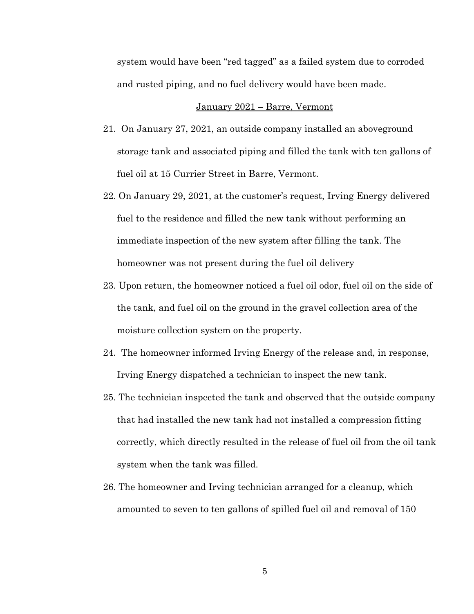system would have been "red tagged" as a failed system due to corroded and rusted piping, and no fuel delivery would have been made.

#### January 2021 – Barre, Vermont

- 21. On January 27, 2021, an outside company installed an aboveground storage tank and associated piping and filled the tank with ten gallons of fuel oil at 15 Currier Street in Barre, Vermont.
- 22. On January 29, 2021, at the customer's request, Irving Energy delivered fuel to the residence and filled the new tank without performing an immediate inspection of the new system after filling the tank. The homeowner was not present during the fuel oil delivery
- 23. Upon return, the homeowner noticed a fuel oil odor, fuel oil on the side of the tank, and fuel oil on the ground in the gravel collection area of the moisture collection system on the property.
- 24. The homeowner informed Irving Energy of the release and, in response, Irving Energy dispatched a technician to inspect the new tank.
- 25. The technician inspected the tank and observed that the outside company that had installed the new tank had not installed a compression fitting correctly, which directly resulted in the release of fuel oil from the oil tank system when the tank was filled.
- 26. The homeowner and Irving technician arranged for a cleanup, which amounted to seven to ten gallons of spilled fuel oil and removal of 150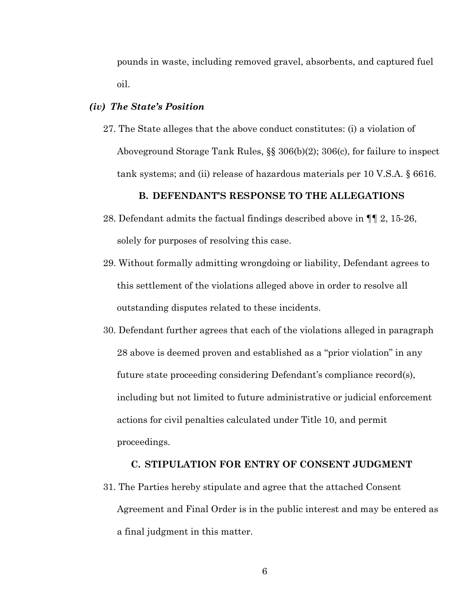pounds in waste, including removed gravel, absorbents, and captured fuel oil.

### *(iv) The State's Position*

27. The State alleges that the above conduct constitutes: (i) a violation of Aboveground Storage Tank Rules, §§ 306(b)(2); 306(c), for failure to inspect tank systems; and (ii) release of hazardous materials per 10 V.S.A. § 6616.

### **B. DEFENDANT'S RESPONSE TO THE ALLEGATIONS**

- 28. Defendant admits the factual findings described above in ¶¶ 2, 15-26, solely for purposes of resolving this case.
- 29. Without formally admitting wrongdoing or liability, Defendant agrees to this settlement of the violations alleged above in order to resolve all outstanding disputes related to these incidents.
- 30. Defendant further agrees that each of the violations alleged in paragraph 28 above is deemed proven and established as a "prior violation" in any future state proceeding considering Defendant's compliance record(s), including but not limited to future administrative or judicial enforcement actions for civil penalties calculated under Title 10, and permit proceedings.

#### **C. STIPULATION FOR ENTRY OF CONSENT JUDGMENT**

31. The Parties hereby stipulate and agree that the attached Consent Agreement and Final Order is in the public interest and may be entered as a final judgment in this matter.